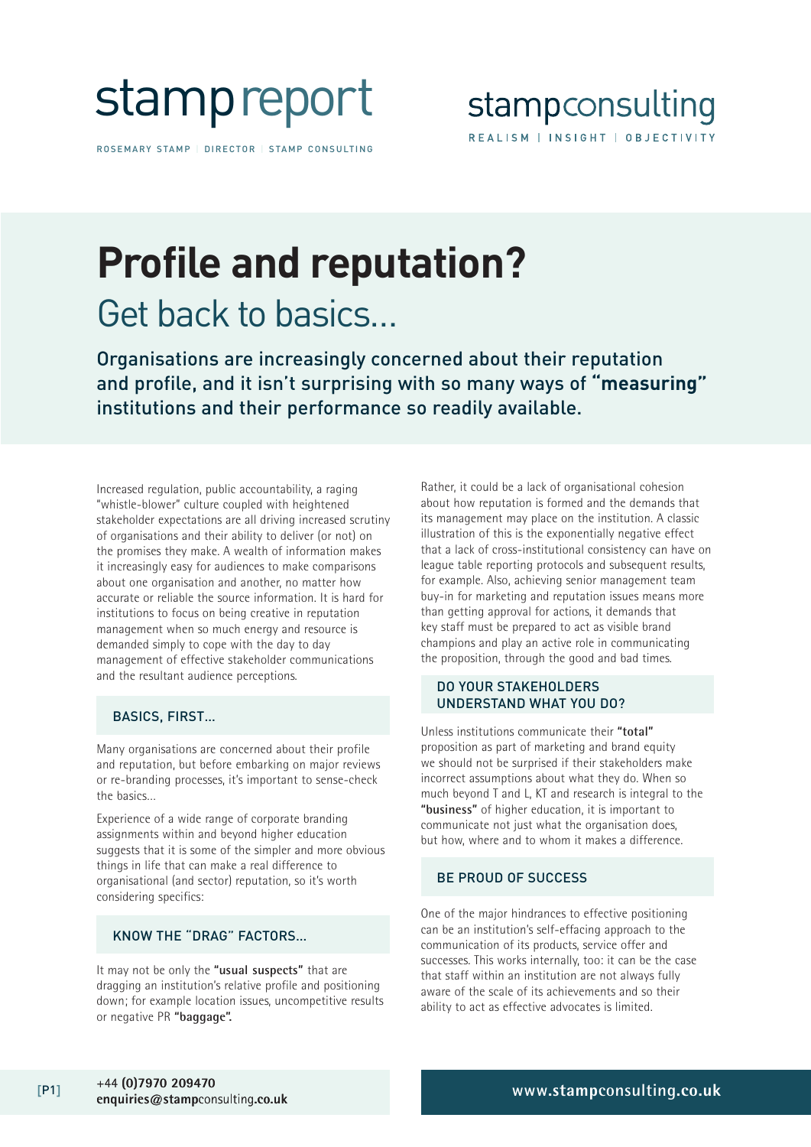

ROSEMARY STAMP | DIRECTOR | STAMP CONSULTING

# **Profile and reputation?** Get back to basics…

Organisations are increasingly concerned about their reputation and profile, and it isn't surprising with so many ways of **"measuring"** institutions and their performance so readily available.

Increased regulation, public accountability, a raging "whistle-blower" culture coupled with heightened stakeholder expectations are all driving increased scrutiny of organisations and their ability to deliver (or not) on the promises they make. A wealth of information makes it increasingly easy for audiences to make comparisons about one organisation and another, no matter how accurate or reliable the source information. It is hard for institutions to focus on being creative in reputation management when so much energy and resource is demanded simply to cope with the day to day management of effective stakeholder communications and the resultant audience perceptions.

# BASICS, FIRST…

Many organisations are concerned about their profile and reputation, but before embarking on major reviews or re-branding processes, it's important to sense-check the basics…

Experience of a wide range of corporate branding assignments within and beyond higher education suggests that it is some of the simpler and more obvious things in life that can make a real difference to organisational (and sector) reputation, so it's worth considering specifics:

# KNOW THE "DRAG" FACTORS…

It may not be only the **"usual suspects"** that are dragging an institution's relative profile and positioning down; for example location issues, uncompetitive results or negative PR **"baggage".** 

Rather, it could be a lack of organisational cohesion about how reputation is formed and the demands that its management may place on the institution. A classic illustration of this is the exponentially negative effect that a lack of cross-institutional consistency can have on league table reporting protocols and subsequent results, for example. Also, achieving senior management team buy-in for marketing and reputation issues means more than getting approval for actions, it demands that key staff must be prepared to act as visible brand champions and play an active role in communicating the proposition, through the good and bad times.

#### DO YOUR STAKEHOLDERS UNDERSTAND WHAT YOU DO?

Unless institutions communicate their **"total"** proposition as part of marketing and brand equity we should not be surprised if their stakeholders make incorrect assumptions about what they do. When so much beyond T and L, KT and research is integral to the **"business"** of higher education, it is important to communicate not just what the organisation does, but how, where and to whom it makes a difference.

# BE PROUD OF SUCCESS

One of the major hindrances to effective positioning can be an institution's self-effacing approach to the communication of its products, service offer and successes. This works internally, too: it can be the case that staff within an institution are not always fully aware of the scale of its achievements and so their ability to act as effective advocates is limited.